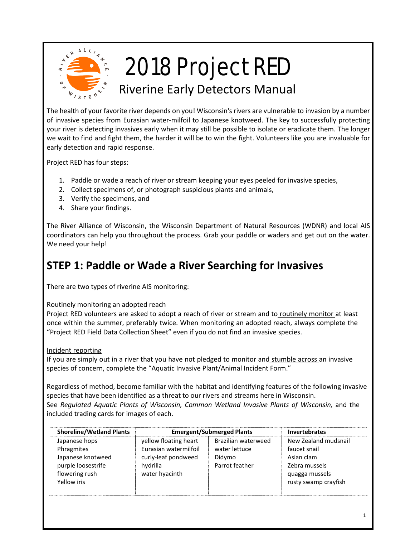

## 2018 Project RED

## Riverine Early Detectors Manual

The health of your favorite river depends on you! Wisconsin's rivers are vulnerable to invasion by a number of invasive species from Eurasian water-milfoil to Japanese knotweed. The key to successfully protecting your river is detecting invasives early when it may still be possible to isolate or eradicate them. The longer we wait to find and fight them, the harder it will be to win the fight. Volunteers like you are invaluable for early detection and rapid response.

Project RED has four steps:

- 1. Paddle or wade a reach of river or stream keeping your eyes peeled for invasive species,
- 2. Collect specimens of, or photograph suspicious plants and animals,
- 3. Verify the specimens, and
- 4. Share your findings.

The River Alliance of Wisconsin, the Wisconsin Department of Natural Resources (WDNR) and local AIS coordinators can help you throughout the process. Grab your paddle or waders and get out on the water. We need your help!

## **STEP 1: Paddle or Wade a River Searching for Invasives**

There are two types of riverine AIS monitoring:

#### Routinely monitoring an adopted reach

Project RED volunteers are asked to adopt a reach of river or stream and to routinely monitor at least once within the summer, preferably twice. When monitoring an adopted reach, always complete the "Project RED Field Data Collection Sheet" even if you do not find an invasive species.

Incident reporting

If you are simply out in a river that you have not pledged to monitor and stumble across an invasive species of concern, complete the "Aquatic Invasive Plant/Animal Incident Form."

Regardless of method, become familiar with the habitat and identifying features of the following invasive species that have been identified as a threat to our rivers and streams here in Wisconsin. See *Regulated Aquatic Plants of Wisconsin, Common Wetland Invasive Plants of Wisconsin, and the* included trading cards for images of each.

| <b>Shoreline/Wetland Plants</b> | <b>Emergent/Submerged Plants</b> |                     | <b>Invertebrates</b> |
|---------------------------------|----------------------------------|---------------------|----------------------|
| Japanese hops                   | yellow floating heart            | Brazilian waterweed | New Zealand mudsnail |
| Phragmites                      | Eurasian watermilfoil            | water lettuce       | faucet snail         |
| Japanese knotweed               | curly-leaf pondweed              | Didymo              | Asian clam           |
| purple loosestrife              | hvdrilla                         | Parrot feather      | Zebra mussels        |
| flowering rush                  | water hyacinth                   |                     | quagga mussels       |
| Yellow iris                     |                                  |                     | rusty swamp crayfish |
|                                 |                                  |                     |                      |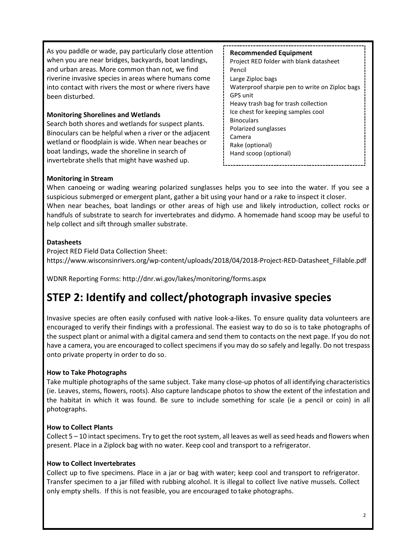As you paddle or wade, pay particularly close attention when you are near bridges, backyards, boat landings, and urban areas. More common than not, we find riverine invasive species in areas where humans come into contact with rivers the most or where rivers have been disturbed.

#### **Monitoring Shorelines and Wetlands**

Search both shores and wetlands for suspect plants. Binoculars can be helpful when a river or the adjacent wetland or floodplain is wide. When near beaches or boat landings, wade the shoreline in search of invertebrate shells that might have washed up.

**Recommended Equipment** Project RED folder with blank datasheet Pencil Large Ziploc bags Waterproof sharpie pen to write on Ziploc bags GPS unit Heavy trash bag for trash collection Ice chest for keeping samples cool **Binoculars** Polarized sunglasses Camera Rake (optional) Hand scoop (optional)

#### **Monitoring in Stream**

When canoeing or wading wearing polarized sunglasses helps you to see into the water. If you see a suspicious submerged or emergent plant, gather a bit using your hand or a rake to inspect it closer. When near beaches, boat landings or other areas of high use and likely introduction, collect rocks or handfuls of substrate to search for invertebrates and didymo. A homemade hand scoop may be useful to help collect and sift through smaller substrate.

#### **Datasheets**

Project RED Field Data Collection Sheet: https://www.wisconsinrivers.org/wp-content/uploads/2018/04/2018-Project-RED-Datasheet\_Fillable.pdf

WDNR Reporting Forms:<http://dnr.wi.gov/lakes/monitoring/forms.aspx>

## **STEP 2: Identify and collect/photograph invasive species**

Invasive species are often easily confused with native look-a-likes. To ensure quality data volunteers are encouraged to verify their findings with a professional. The easiest way to do so is to take photographs of the suspect plant or animal with a digital camera and send them to contacts on the next page. If you do not have a camera, you are encouraged to collect specimens if you may do so safely and legally. Do not trespass onto private property in order to do so.

#### **How to Take Photographs**

Take multiple photographs of the same subject. Take many close-up photos of all identifying characteristics (ie. Leaves, stems, flowers, roots). Also capture landscape photos to show the extent of the infestation and the habitat in which it was found. Be sure to include something for scale (ie a pencil or coin) in all photographs.

#### **How to Collect Plants**

Collect 5 – 10 intact specimens. Try to get the root system, all leaves as well as seed heads and flowers when present. Place in a Ziplock bag with no water. Keep cool and transport to a refrigerator.

#### **How to Collect Invertebrates**

Collect up to five specimens. Place in a jar or bag with water; keep cool and transport to refrigerator. Transfer specimen to a jar filled with rubbing alcohol. It is illegal to collect live native mussels. Collect only empty shells. If this is not feasible, you are encouraged to take photographs.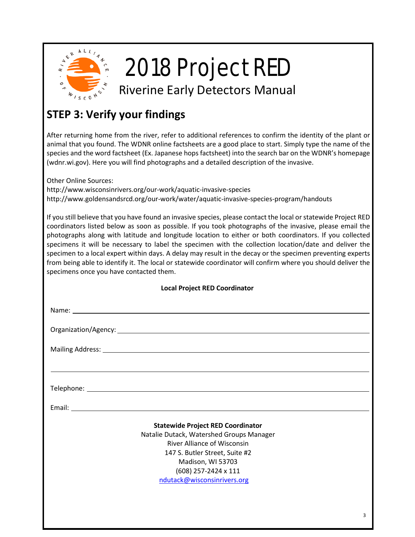

## 2018 Project RED

Riverine Early Detectors Manual

## **STEP 3: Verify your findings**

After returning home from the river, refer to additional references to confirm the identity of the plant or animal that you found. The WDNR online factsheets are a good place to start. Simply type the name of the species and the word factsheet (Ex. Japanese hops factsheet) into the search bar on the WDNR's homepage (wdnr.wi.gov). Here you will find photographs and a detailed description of the invasive.

Other Online Sources:

<http://www.wisconsinrivers.org/our-work/aquatic-invasive-species> <http://www.goldensandsrcd.org/our-work/water/aquatic-invasive-species-program/handouts>

If you still believe that you have found an invasive species, please contact the local or statewide Project RED coordinators listed below as soon as possible. If you took photographs of the invasive, please email the photographs along with latitude and longitude location to either or both coordinators. If you collected specimens it will be necessary to label the specimen with the collection location/date and deliver the specimen to a local expert within days. A delay may result in the decay or the specimen preventing experts from being able to identify it. The local or statewide coordinator will confirm where you should deliver the specimens once you have contacted them.

| <b>Local Project RED Coordinator</b>                                                                                                                                                                                                     |   |  |  |
|------------------------------------------------------------------------------------------------------------------------------------------------------------------------------------------------------------------------------------------|---|--|--|
|                                                                                                                                                                                                                                          |   |  |  |
|                                                                                                                                                                                                                                          |   |  |  |
| Mailing Address: 1988 and 2008 and 2008 and 2008 and 2008 and 2008 and 2008 and 2008 and 2008 and 2008 and 200                                                                                                                           |   |  |  |
|                                                                                                                                                                                                                                          |   |  |  |
|                                                                                                                                                                                                                                          |   |  |  |
|                                                                                                                                                                                                                                          |   |  |  |
| <b>Statewide Project RED Coordinator</b><br>Natalie Dutack, Watershed Groups Manager<br><b>River Alliance of Wisconsin</b><br>147 S. Butler Street, Suite #2<br>Madison, WI 53703<br>(608) 257-2424 x 111<br>ndutack@wisconsinrivers.org |   |  |  |
|                                                                                                                                                                                                                                          | 3 |  |  |